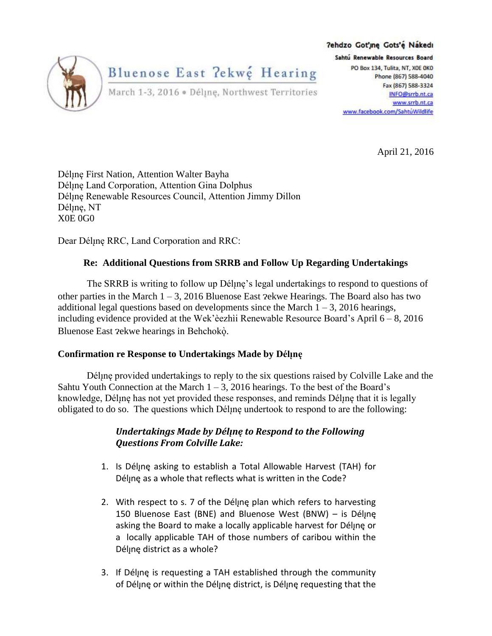

7ehdzo Got'ıne Gots'e Nakedı Sahtú Renewable Resources Board PO Box 134, Tulita, NT, XOE OKO Phone (867) 588-4040 Fax (867) 588-3324 INFO@srrb.nt.ca www.srrb.nt.ca www.facebook.com/SahtuWildlife

April 21, 2016

Déline First Nation, Attention Walter Bayha Déline Land Corporation, Attention Gina Dolphus Déline Renewable Resources Council, Attention Jimmy Dillon Déline, NT X0E 0G0

Dear Déline RRC, Land Corporation and RRC:

# **Re: Additional Questions from SRRB and Follow Up Regarding Undertakings**

The SRRB is writing to follow up Déline's legal undertakings to respond to questions of other parties in the March  $1 - 3$ , 2016 Bluenose East  $2 \times 2 \times 10^5$  Hearings. The Board also has two additional legal questions based on developments since the March  $1 - 3$ , 2016 hearings, including evidence provided at the Wek' eezhii Renewable Resource Board's April  $6 - 8$ , 2016 Bluenose East ?ekwe hearings in Behchokò.

## **Confirmation re Response to Undertakings Made by**

Déline provided undertakings to reply to the six questions raised by Colville Lake and the Sahtu Youth Connection at the March  $1 - 3$ , 2016 hearings. To the best of the Board's knowledge, Déline has not yet provided these responses, and reminds Déline that it is legally obligated to do so. The questions which Déline undertook to respond to are the following:

# *Undertakings Made by Déline to Respond to the Following Questions From Colville Lake:*

- 1. Is Déljne asking to establish a Total Allowable Harvest (TAH) for Déline as a whole that reflects what is written in the Code?
- 2. With respect to s. 7 of the Déline plan which refers to harvesting 150 Bluenose East (BNE) and Bluenose West (BNW) - is Délyne asking the Board to make a locally applicable harvest for Délyne or a locally applicable TAH of those numbers of caribou within the Déline district as a whole?
- 3. If Déline is requesting a TAH established through the community of Déline or within the Déline district, is Déline requesting that the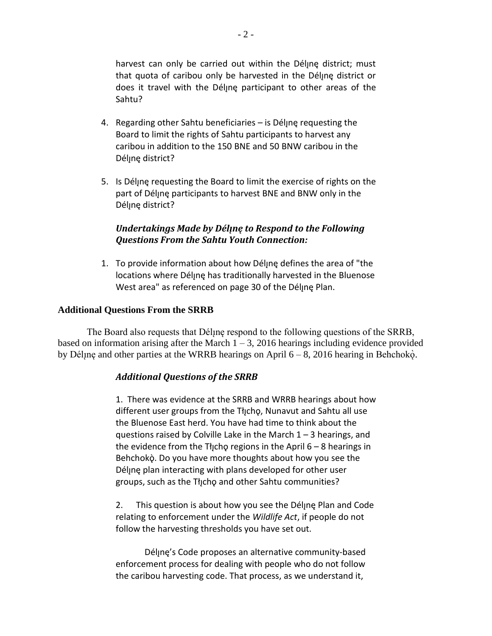harvest can only be carried out within the Déline district; must that quota of caribou only be harvested in the Déljne district or does it travel with the Déljne participant to other areas of the Sahtu?

- 4. Regarding other Sahtu beneficiaries is Déline requesting the Board to limit the rights of Sahtu participants to harvest any caribou in addition to the 150 BNE and 50 BNW caribou in the Déljne district?
- 5. Is Déline requesting the Board to limit the exercise of rights on the part of participants to harvest BNE and BNW only in the Déljne district?

### *Undertakings Made by Déline to Respond to the Following Questions From the Sahtu Youth Connection:*

1. To provide information about how Délyne defines the area of "the locations where Déline has traditionally harvested in the Bluenose West area" as referenced on page 30 of the Déljne Plan.

#### **Additional Questions From the SRRB**

The Board also requests that Déline respond to the following questions of the SRRB, based on information arising after the March  $1 - 3$ , 2016 hearings including evidence provided by Délįnę and other parties at the WRRB hearings on April  $6-8$ , 2016 hearing in Behchok $\dot{\varphi}$ .

## *Additional Questions of the SRRB*

1. There was evidence at the SRRB and WRRB hearings about how different user groups from the Thicho, Nunavut and Sahtu all use the Bluenose East herd. You have had time to think about the questions raised by Colville Lake in the March  $1 - 3$  hearings, and the evidence from the Theop regions in the April  $6 - 8$  hearings in Behchokò. Do you have more thoughts about how you see the Déljne plan interacting with plans developed for other user groups, such as the Thcho and other Sahtu communities?

2. This question is about how you see the Déline Plan and Code relating to enforcement under the *Wildlife Act*, if people do not follow the harvesting thresholds you have set out.

Déljne's Code proposes an alternative community-based enforcement process for dealing with people who do not follow the caribou harvesting code. That process, as we understand it,